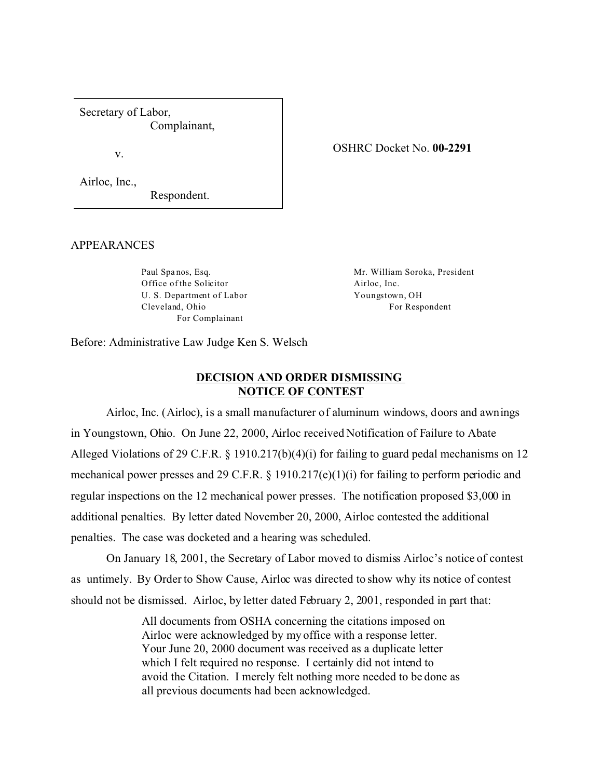Secretary of Labor, Complainant,

v.

## OSHRC Docket No. **00-2291**

Airloc, Inc.,

Respondent.

## APPEARANCES

Paul Spa nos, Esq. Office of the Solicitor U. S. Department of Labor Cleveland, Ohio For Complainant

Mr. William Soroka, President Airloc, Inc. Youngstown, OH For Respondent

Before: Administrative Law Judge Ken S. Welsch

## **DECISION AND ORDER DISMISSING NOTICE OF CONTEST**

Airloc, Inc. (Airloc), is a small manufacturer of aluminum windows, doors and awnings in Youngstown, Ohio. On June 22, 2000, Airloc received Notification of Failure to Abate Alleged Violations of 29 C.F.R. § 1910.217(b)(4)(i) for failing to guard pedal mechanisms on 12 mechanical power presses and 29 C.F.R. § 1910.217(e)(1)(i) for failing to perform periodic and regular inspections on the 12 mechanical power presses. The notification proposed \$3,000 in additional penalties. By letter dated November 20, 2000, Airloc contested the additional penalties. The case was docketed and a hearing was scheduled.

On January 18, 2001, the Secretary of Labor moved to dismiss Airloc's notice of contest as untimely. By Order to Show Cause, Airloc was directed to show why its notice of contest should not be dismissed. Airloc, by letter dated February 2, 2001, responded in part that:

> All documents from OSHA concerning the citations imposed on Airloc were acknowledged by my office with a response letter. Your June 20, 2000 document was received as a duplicate letter which I felt required no response. I certainly did not intend to avoid the Citation. I merely felt nothing more needed to be done as all previous documents had been acknowledged.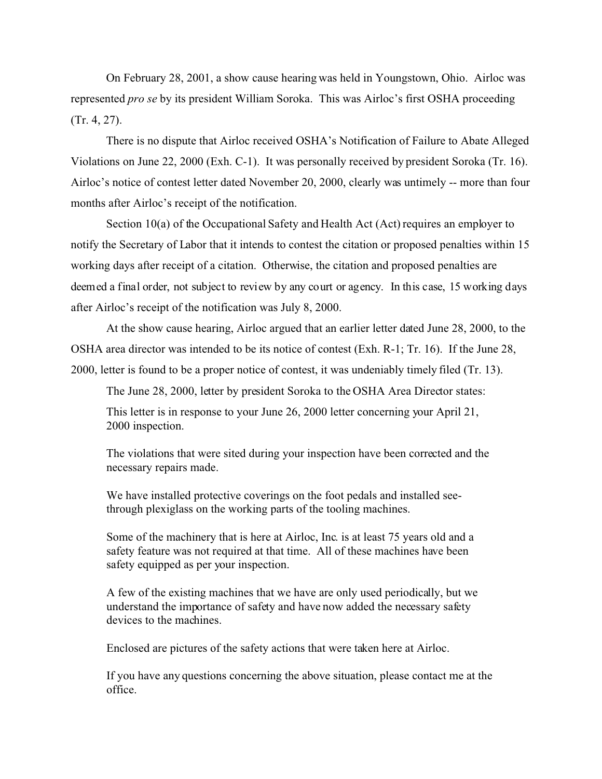On February 28, 2001, a show cause hearing was held in Youngstown, Ohio. Airloc was represented *pro se* by its president William Soroka. This was Airloc's first OSHA proceeding (Tr. 4, 27).

There is no dispute that Airloc received OSHA's Notification of Failure to Abate Alleged Violations on June 22, 2000 (Exh. C-1). It was personally received by president Soroka (Tr. 16). Airloc's notice of contest letter dated November 20, 2000, clearly was untimely -- more than four months after Airloc's receipt of the notification.

Section 10(a) of the Occupational Safety and Health Act (Act) requires an employer to notify the Secretary of Labor that it intends to contest the citation or proposed penalties within 15 working days after receipt of a citation. Otherwise, the citation and proposed penalties are deemed a final order, not subject to review by any court or agency. In this case, 15 working days after Airloc's receipt of the notification was July 8, 2000.

At the show cause hearing, Airloc argued that an earlier letter dated June 28, 2000, to the OSHA area director was intended to be its notice of contest (Exh. R-1; Tr. 16). If the June 28, 2000, letter is found to be a proper notice of contest, it was undeniably timely filed (Tr. 13).

The June 28, 2000, letter by president Soroka to the OSHA Area Director states:

This letter is in response to your June 26, 2000 letter concerning your April 21, 2000 inspection.

The violations that were sited during your inspection have been corrected and the necessary repairs made.

We have installed protective coverings on the foot pedals and installed seethrough plexiglass on the working parts of the tooling machines.

Some of the machinery that is here at Airloc, Inc. is at least 75 years old and a safety feature was not required at that time. All of these machines have been safety equipped as per your inspection.

A few of the existing machines that we have are only used periodically, but we understand the importance of safety and have now added the necessary safety devices to the machines.

Enclosed are pictures of the safety actions that were taken here at Airloc.

If you have any questions concerning the above situation, please contact me at the office.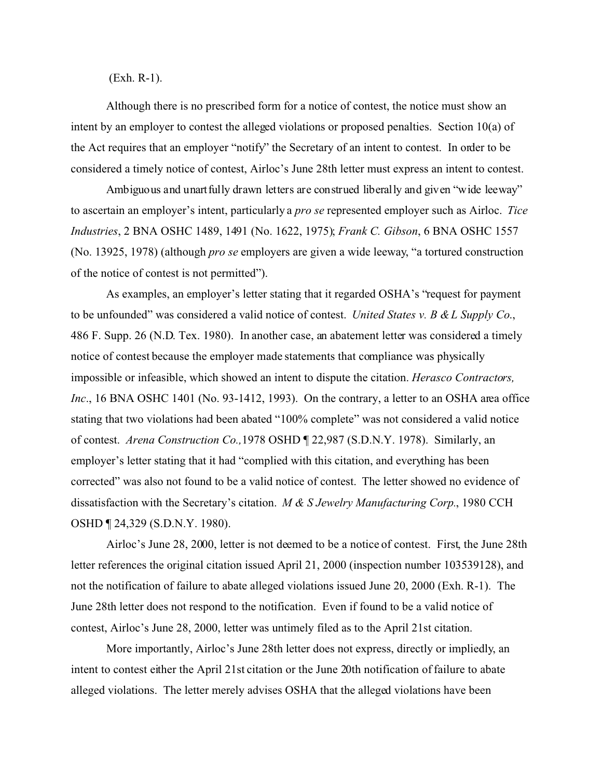(Exh. R-1).

Although there is no prescribed form for a notice of contest, the notice must show an intent by an employer to contest the alleged violations or proposed penalties. Section 10(a) of the Act requires that an employer "notify" the Secretary of an intent to contest. In order to be considered a timely notice of contest, Airloc's June 28th letter must express an intent to contest.

Ambiguous and unartfully drawn letters are construed liberally and given "wide leeway" to ascertain an employer's intent, particularly a *pro se* represented employer such as Airloc. *Tice Industries*, 2 BNA OSHC 1489, 1491 (No. 1622, 1975); *Frank C. Gibson*, 6 BNA OSHC 1557 (No. 13925, 1978) (although *pro se* employers are given a wide leeway, "a tortured construction of the notice of contest is not permitted").

As examples, an employer's letter stating that it regarded OSHA's "request for payment to be unfounded" was considered a valid notice of contest. *United States v. B & L Supply Co*., 486 F. Supp. 26 (N.D. Tex. 1980). In another case, an abatement letter was considered a timely notice of contest because the employer made statements that compliance was physically impossible or infeasible, which showed an intent to dispute the citation. *Herasco Contractors, Inc.*, 16 BNA OSHC 1401 (No. 93-1412, 1993). On the contrary, a letter to an OSHA area office stating that two violations had been abated "100% complete" was not considered a valid notice of contest. *Arena Construction Co.,*1978 OSHD ¶ 22,987 (S.D.N.Y. 1978). Similarly, an employer's letter stating that it had "complied with this citation, and everything has been corrected" was also not found to be a valid notice of contest. The letter showed no evidence of dissatisfaction with the Secretary's citation. *M & S Jewelry Manufacturing Corp.*, 1980 CCH OSHD ¶ 24,329 (S.D.N.Y. 1980).

Airloc's June 28, 2000, letter is not deemed to be a notice of contest. First, the June 28th letter references the original citation issued April 21, 2000 (inspection number 103539128), and not the notification of failure to abate alleged violations issued June 20, 2000 (Exh. R-1). The June 28th letter does not respond to the notification. Even if found to be a valid notice of contest, Airloc's June 28, 2000, letter was untimely filed as to the April 21st citation.

More importantly, Airloc's June 28th letter does not express, directly or impliedly, an intent to contest either the April 21st citation or the June 20th notification of failure to abate alleged violations. The letter merely advises OSHA that the alleged violations have been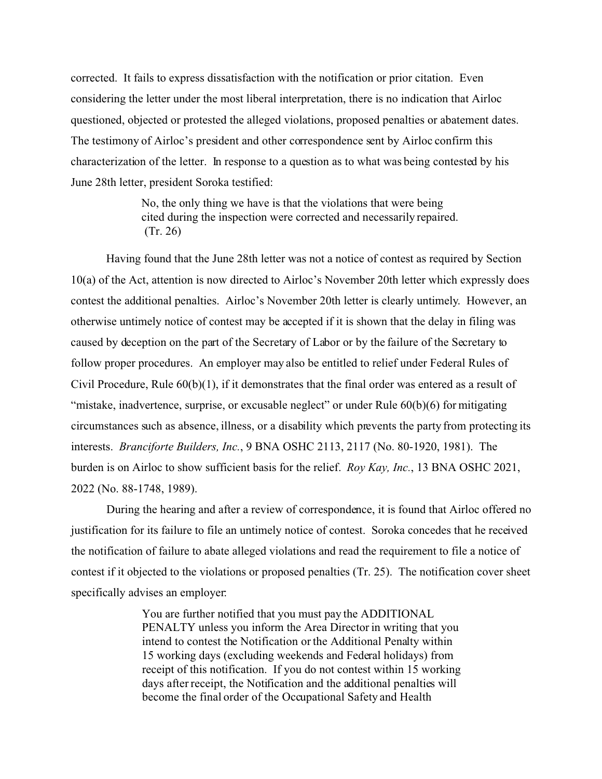corrected. It fails to express dissatisfaction with the notification or prior citation. Even considering the letter under the most liberal interpretation, there is no indication that Airloc questioned, objected or protested the alleged violations, proposed penalties or abatement dates. The testimony of Airloc's president and other correspondence sent by Airloc confirm this characterization of the letter. In response to a question as to what was being contested by his June 28th letter, president Soroka testified:

> No, the only thing we have is that the violations that were being cited during the inspection were corrected and necessarily repaired. (Tr. 26)

Having found that the June 28th letter was not a notice of contest as required by Section 10(a) of the Act, attention is now directed to Airloc's November 20th letter which expressly does contest the additional penalties. Airloc's November 20th letter is clearly untimely. However, an otherwise untimely notice of contest may be accepted if it is shown that the delay in filing was caused by deception on the part of the Secretary of Labor or by the failure of the Secretary to follow proper procedures. An employer may also be entitled to relief under Federal Rules of Civil Procedure, Rule 60(b)(1), if it demonstrates that the final order was entered as a result of "mistake, inadvertence, surprise, or excusable neglect" or under Rule  $60(b)(6)$  for mitigating circumstances such as absence, illness, or a disability which prevents the party from protecting its interests. *Branciforte Builders, Inc.*, 9 BNA OSHC 2113, 2117 (No. 80-1920, 1981). The burden is on Airloc to show sufficient basis for the relief. *Roy Kay, Inc.*, 13 BNA OSHC 2021, 2022 (No. 88-1748, 1989).

During the hearing and after a review of correspondence, it is found that Airloc offered no justification for its failure to file an untimely notice of contest. Soroka concedes that he received the notification of failure to abate alleged violations and read the requirement to file a notice of contest if it objected to the violations or proposed penalties (Tr. 25). The notification cover sheet specifically advises an employer:

> You are further notified that you must pay the ADDITIONAL PENALTY unless you inform the Area Director in writing that you intend to contest the Notification or the Additional Penalty within 15 working days (excluding weekends and Federal holidays) from receipt of this notification. If you do not contest within 15 working days after receipt, the Notification and the additional penalties will become the final order of the Occupational Safety and Health